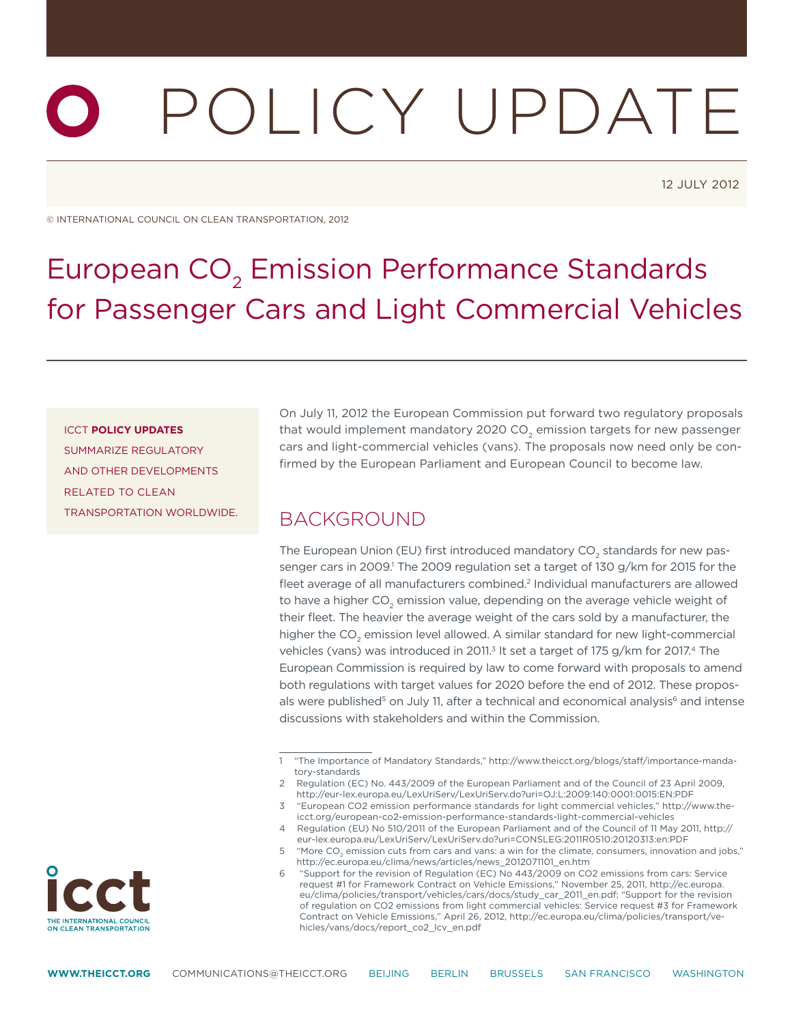# Policy update

12 July 2012

© International Council on Clean Transportation, 2012

## European CO<sub>2</sub> Emission Performance Standards for Passenger Cars and Light Commercial Vehicles

#### ICCT **Policy Updates**

summarize regulatory and other developments related to clean transportation worldwide. On July 11, 2012 the European Commission put forward two regulatory proposals that would implement mandatory 2020 CO<sub>2</sub> emission targets for new passenger cars and light-commercial vehicles (vans). The proposals now need only be confirmed by the European Parliament and European Council to become law.

#### **BACKGROUND**

The European Union (EU) first introduced mandatory CO<sub>2</sub> standards for new passenger cars in 2009.<sup>1</sup> The 2009 regulation set a target of 130 g/km for 2015 for the fleet average of all manufacturers combined.<sup>2</sup> Individual manufacturers are allowed to have a higher  $CO<sub>2</sub>$  emission value, depending on the average vehicle weight of their fleet. The heavier the average weight of the cars sold by a manufacturer, the higher the CO<sub>2</sub> emission level allowed. A similar standard for new light-commercial vehicles (vans) was introduced in 2011.<sup>3</sup> It set a target of 175 g/km for 2017.<sup>4</sup> The European Commission is required by law to come forward with proposals to amend both regulations with target values for 2020 before the end of 2012. These proposals were published<sup>5</sup> on July 11, after a technical and economical analysis<sup>6</sup> and intense discussions with stakeholders and within the Commission.



<sup>1 &</sup>quot;The Importance of Mandatory Standards," [http://www.theicct.org/blogs/staff/importance-manda](http://www.theicct.org/blogs/staff/importance-mandatory-standards)[tory-standards](http://www.theicct.org/blogs/staff/importance-mandatory-standards)

<sup>2</sup> Regulation (EC) No. 443/2009 of the European Parliament and of the Council of 23 April 2009, <http://eur-lex.europa.eu/LexUriServ/LexUriServ.do?uri=OJ:L:2009:140:0001:0015:EN:PDF>

<sup>3 &</sup>quot;European CO2 emission performance standards for light commercial vehicles," [http://www.the](http://www.theicct.org/european-co2-emission-performance-standards-light-commercial-vehicles)[icct.org/european-co2-emission-performance-standards-light-commercial-vehicles](http://www.theicct.org/european-co2-emission-performance-standards-light-commercial-vehicles)

<sup>4</sup> Regulation (EU) No 510/2011 of the European Parliament and of the Council of 11 May 2011, [http://](http://eur-lex.europa.eu/LexUriServ/LexUriServ.do?uri=CONSLEG:2011R0510:20120313:en:PDF) [eur-lex.europa.eu/LexUriServ/LexUriServ.do?uri=CONSLEG:2011R0510:20120313:en:PDF](http://eur-lex.europa.eu/LexUriServ/LexUriServ.do?uri=CONSLEG:2011R0510:20120313:en:PDF)

<sup>5 &</sup>quot;More CO<sub>2</sub> emission cuts from cars and vans: a win for the climate, consumers, innovation and jobs," [http://ec.europa.eu/clima/news/articles/news\\_2012071101\\_en.htm](http://ec.europa.eu/clima/news/articles/news_2012071101_en.htm)

<sup>6 &</sup>quot;Support for the revision of Regulation (EC) No 443/2009 on CO2 emissions from cars: Service request #1 for Framework Contract on Vehicle Emissions," November 25, 2011, [http://ec.europa.](http://ec.europa.eu/clima/policies/transport/vehicles/cars/docs/study_car_2011_en.pdf) [eu/clima/policies/transport/vehicles/cars/docs/study\\_car\\_2011\\_en.pdf;](http://ec.europa.eu/clima/policies/transport/vehicles/cars/docs/study_car_2011_en.pdf) "Support for the revision of regulation on CO2 emissions from light commercial vehicles: Service request #3 for Framework Contract on Vehicle Emissions," April 26, 2012, [http://ec.europa.eu/clima/policies/transport/ve](http://ec.europa.eu/clima/policies/transport/vehicles/vans/docs/report_co2_lcv_en.pdf)[hicles/vans/docs/report\\_co2\\_lcv\\_en.pdf](http://ec.europa.eu/clima/policies/transport/vehicles/vans/docs/report_co2_lcv_en.pdf)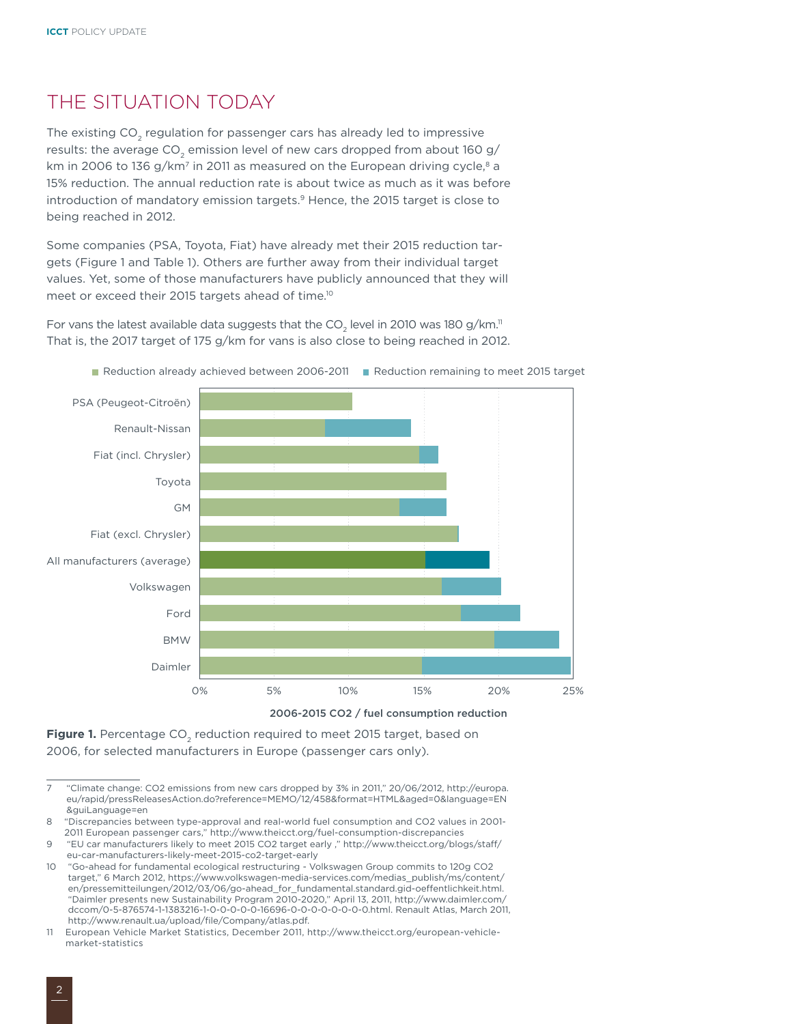#### THE SITUATION TODAY

The existing CO<sub>2</sub> regulation for passenger cars has already led to impressive results: the average CO<sub>2</sub> emission level of new cars dropped from about 160 g/ km in 2006 to 136 g/km<sup>7</sup> in 2011 as measured on the European driving cycle, $8$  a 15% reduction. The annual reduction rate is about twice as much as it was before introduction of mandatory emission targets.<sup>9</sup> Hence, the 2015 target is close to being reached in 2012.

Some companies (PSA, Toyota, Fiat) have already met their 2015 reduction targets (Figure 1 and Table 1). Others are further away from their individual target values. Yet, some of those manufacturers have publicly announced that they will meet or exceed their 2015 targets ahead of time.10

For vans the latest available data suggests that the CO<sub>2</sub> level in 2010 was 180 g/km." That is, the 2017 target of 175 g/km for vans is also close to being reached in 2012.



Reduction already achieved between 2006-2011 Reduction remaining to meet 2015 target



2006, for selected manufacturers in Europe (passenger cars only).

<sup>7 &</sup>quot;Climate change: CO2 emissions from new cars dropped by 3% in 2011," 20/06/2012, [http://europa.](http://europa.eu/rapid/pressReleasesAction.do?reference=MEMO/12/458&format=HTML&aged=0&language=EN&guiLanguage=en) [eu/rapid/pressReleasesAction.do?reference=MEMO/12/458&format=HTML&aged=0&language=EN](http://europa.eu/rapid/pressReleasesAction.do?reference=MEMO/12/458&format=HTML&aged=0&language=EN&guiLanguage=en) [&guiLanguage=en](http://europa.eu/rapid/pressReleasesAction.do?reference=MEMO/12/458&format=HTML&aged=0&language=EN&guiLanguage=en)

<sup>8 &</sup>quot;Discrepancies between type-approval and real-world fuel consumption and CO2 values in 2001- 2011 European passenger cars," <http://www.theicct.org/fuel-consumption-discrepancie>s

<sup>9 &</sup>quot;EU car manufacturers likely to meet 2015 CO2 target early ," [http://www.theicct.org/blogs/staff/](http://www.theicct.org/blogs/staff/eu-car-manufacturers-likely-meet-2015-co2-target-early) [eu-car-manufacturers-likely-meet-2015-co2-target-early](http://www.theicct.org/blogs/staff/eu-car-manufacturers-likely-meet-2015-co2-target-early)

<sup>10 &</sup>quot;Go-ahead for fundamental ecological restructuring - Volkswagen Group commits to 120g CO2 target," 6 March 2012, [https://www.volkswagen-media-services.com/medias\\_publish/ms/content/](https://www.volkswagen-media-services.com/medias_publish/ms/content/en/pressemitteilungen/2012/03/06/go-ahead_for_fundamental.standard.gid-oeffentlichkeit.html) [en/pressemitteilungen/2012/03/06/go-ahead\\_for\\_fundamental.standard.gid-oeffentlichkeit.html](https://www.volkswagen-media-services.com/medias_publish/ms/content/en/pressemitteilungen/2012/03/06/go-ahead_for_fundamental.standard.gid-oeffentlichkeit.html). "Daimler presents new Sustainability Program 2010-2020," April 13, 2011, [http://www.daimler.com/](http://www.daimler.com/dccom/0-5-876574-1-1383216-1-0-0-0-0-0-16696-0-0-0-0-0-0-0-0.html) [dccom/0-5-876574-1-1383216-1-0-0-0-0-0-16696-0-0-0-0-0-0-0-0.html](http://www.daimler.com/dccom/0-5-876574-1-1383216-1-0-0-0-0-0-16696-0-0-0-0-0-0-0-0.html). Renault Atlas, March 2011, [http://www.renault.ua/upload/file/Company/atlas.pdf.](http://www.renault.ua/upload/file/Company/atlas.pdf)

<sup>11</sup> European Vehicle Market Statistics, December 2011, [http://www.theicct.org/european-vehicle](http://www.theicct.org/european-vehicle-market-statistics)[market-statistics](http://www.theicct.org/european-vehicle-market-statistics)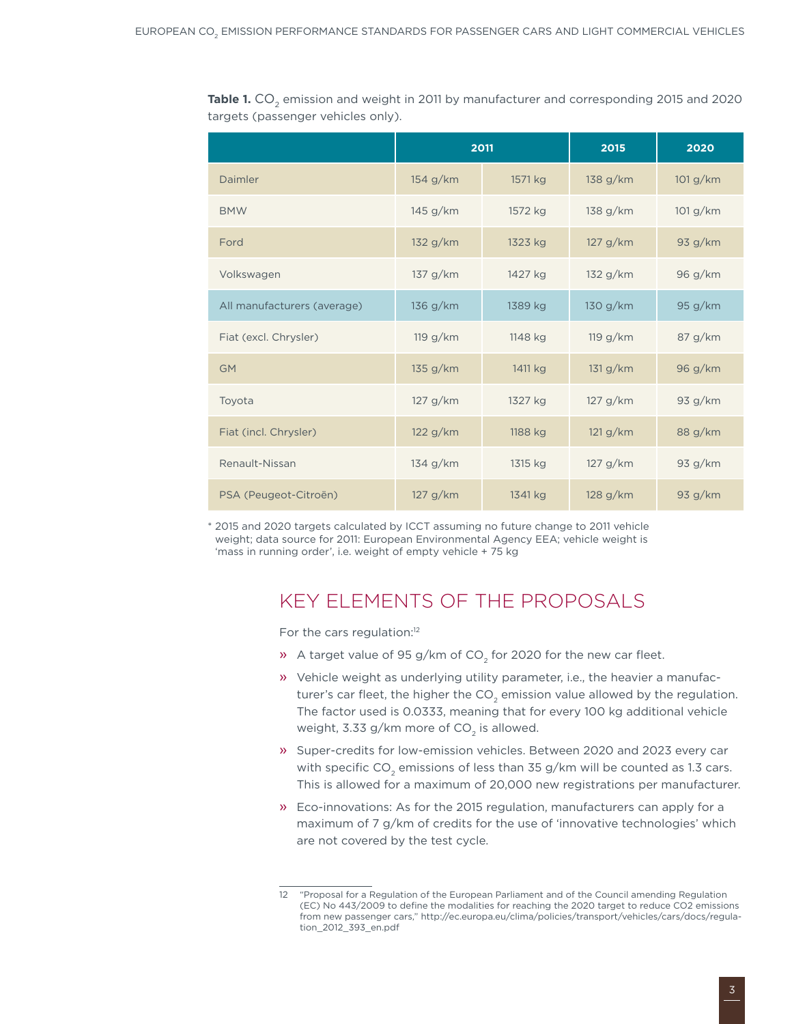**Table 1.** CO<sub>2</sub> emission and weight in 2011 by manufacturer and corresponding 2015 and 2020 targets (passenger vehicles only).

|                             | 2011     |         | 2015     | 2020     |
|-----------------------------|----------|---------|----------|----------|
| Daimler                     | 154 g/km | 1571 kg | 138 g/km | 101 g/km |
| <b>BMW</b>                  | 145 g/km | 1572 kg | 138 g/km | 101 g/km |
| Ford                        | 132 g/km | 1323 kg | 127 g/km | 93 g/km  |
| Volkswagen                  | 137 g/km | 1427 kg | 132 g/km | 96 g/km  |
| All manufacturers (average) | 136 g/km | 1389 kg | 130 g/km | 95 g/km  |
| Fiat (excl. Chrysler)       | 119 g/km | 1148 kg | 119 g/km | 87 g/km  |
| <b>GM</b>                   | 135 g/km | 1411 kg | 131 g/km | 96 g/km  |
| Toyota                      | 127 g/km | 1327 kg | 127 g/km | 93 g/km  |
| Fiat (incl. Chrysler)       | 122 g/km | 1188 kg | 121 g/km | 88 g/km  |
| Renault-Nissan              | 134 g/km | 1315 kg | 127 g/km | 93 g/km  |
| PSA (Peugeot-Citroën)       | 127 g/km | 1341 kg | 128 g/km | 93 g/km  |

\* 2015 and 2020 targets calculated by ICCT assuming no future change to 2011 vehicle weight; data source for 2011: European Environmental Agency EEA; vehicle weight is 'mass in running order', i.e. weight of empty vehicle + 75 kg

#### KEY ELEMENTS OF THE PROPOSALS

For the cars regulation:<sup>12</sup>

- $\lambda$  A target value of 95 g/km of CO<sub>2</sub> for 2020 for the new car fleet.
- » Vehicle weight as underlying utility parameter, i.e., the heavier a manufacturer's car fleet, the higher the  $CO<sub>2</sub>$  emission value allowed by the regulation. The factor used is 0.0333, meaning that for every 100 kg additional vehicle weight, 3.33 g/km more of  $CO<sub>2</sub>$  is allowed.
- » Super-credits for low-emission vehicles. Between 2020 and 2023 every car with specific  $CO<sub>2</sub>$  emissions of less than 35 g/km will be counted as 1.3 cars. This is allowed for a maximum of 20,000 new registrations per manufacturer.
- » Eco-innovations: As for the 2015 regulation, manufacturers can apply for a maximum of 7 g/km of credits for the use of 'innovative technologies' which are not covered by the test cycle.

<sup>12 &</sup>quot;Proposal for a Regulation of the European Parliament and of the Council amending Regulation (EC) No 443/2009 to define the modalities for reaching the 2020 target to reduce CO2 emissions from new passenger cars," [http://ec.europa.eu/clima/policies/transport/vehicles/cars/docs/regula](http://ec.europa.eu/clima/policies/transport/vehicles/cars/docs/regulation_2012_393_en.pdf)[tion\\_2012\\_393\\_en.pdf](http://ec.europa.eu/clima/policies/transport/vehicles/cars/docs/regulation_2012_393_en.pdf)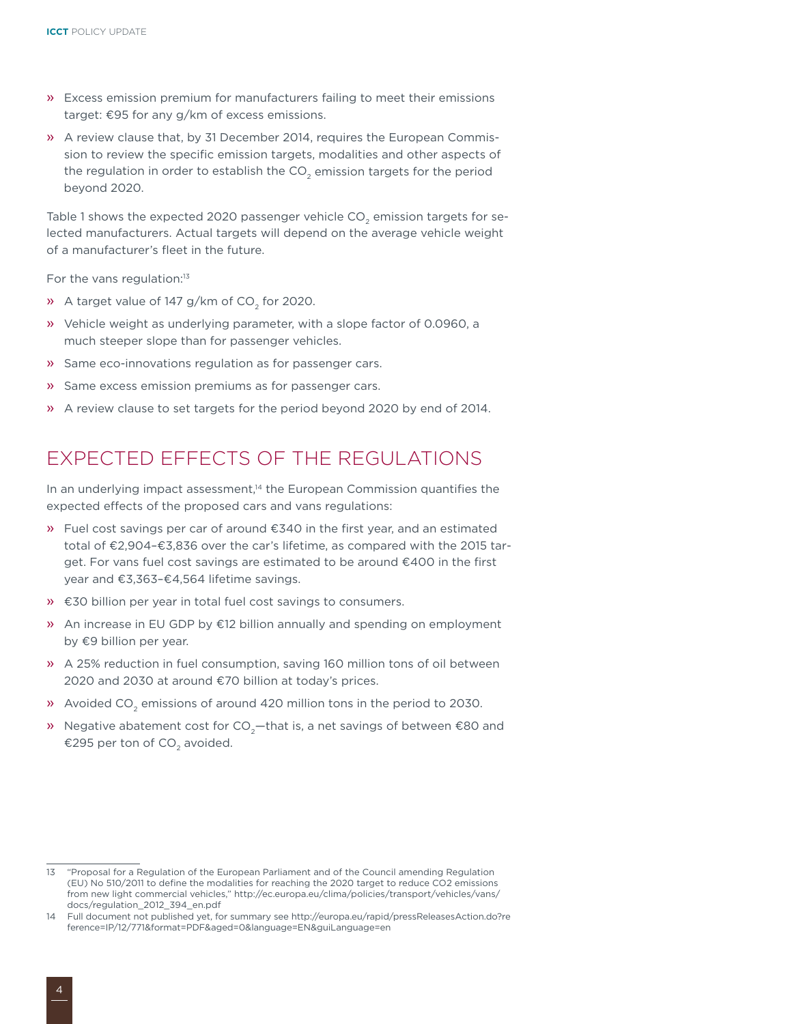- » Excess emission premium for manufacturers failing to meet their emissions target: €95 for any g/km of excess emissions.
- » A review clause that, by 31 December 2014, requires the European Commission to review the specific emission targets, modalities and other aspects of the regulation in order to establish the CO<sub>2</sub> emission targets for the period beyond 2020.

Table 1 shows the expected 2020 passenger vehicle  $CO<sub>2</sub>$  emission targets for selected manufacturers. Actual targets will depend on the average vehicle weight of a manufacturer's fleet in the future.

For the vans regulation:<sup>13</sup>

- » A target value of 147 g/km of  $CO<sub>2</sub>$  for 2020.
- » Vehicle weight as underlying parameter, with a slope factor of 0.0960, a much steeper slope than for passenger vehicles.
- » Same eco-innovations regulation as for passenger cars.
- » Same excess emission premiums as for passenger cars.
- » A review clause to set targets for the period beyond 2020 by end of 2014.

#### Expected effects of the regulations

In an underlying impact assessment,<sup>14</sup> the European Commission quantifies the expected effects of the proposed cars and vans regulations:

- » Fuel cost savings per car of around €340 in the first year, and an estimated total of €2,904–€3,836 over the car's lifetime, as compared with the 2015 target. For vans fuel cost savings are estimated to be around €400 in the first year and €3,363–€4,564 lifetime savings.
- » €30 billion per year in total fuel cost savings to consumers.
- » An increase in EU GDP by €12 billion annually and spending on employment by €9 billion per year.
- » A 25% reduction in fuel consumption, saving 160 million tons of oil between 2020 and 2030 at around €70 billion at today's prices.
- » Avoided CO<sub>2</sub> emissions of around 420 million tons in the period to 2030.
- » Negative abatement cost for  $CO<sub>2</sub>$  –that is, a net savings of between €80 and €295 per ton of CO<sub>2</sub> avoided.

<sup>13 &</sup>quot;Proposal for a Regulation of the European Parliament and of the Council amending Regulation (EU) No 510/2011 to define the modalities for reaching the 2020 target to reduce CO2 emissions from new light commercial vehicles," [http://ec.europa.eu/clima/policies/transport/vehicles/vans/](http://ec.europa.eu/clima/policies/transport/vehicles/vans/docs/regulation_2012_394_en.pdf) [docs/regulation\\_2012\\_394\\_en.pdf](http://ec.europa.eu/clima/policies/transport/vehicles/vans/docs/regulation_2012_394_en.pdf)

<sup>14</sup> Full document not published yet, for summary see [http://europa.eu/rapid/pressReleasesAction.do?re](http://europa.eu/rapid/pressReleasesAction.do?reference=IP/12/771&format=PDF&aged=0&language=EN&guiLanguage=en) [ference=IP/12/771&format=PDF&aged=0&language=EN&guiLanguage=en](http://europa.eu/rapid/pressReleasesAction.do?reference=IP/12/771&format=PDF&aged=0&language=EN&guiLanguage=en)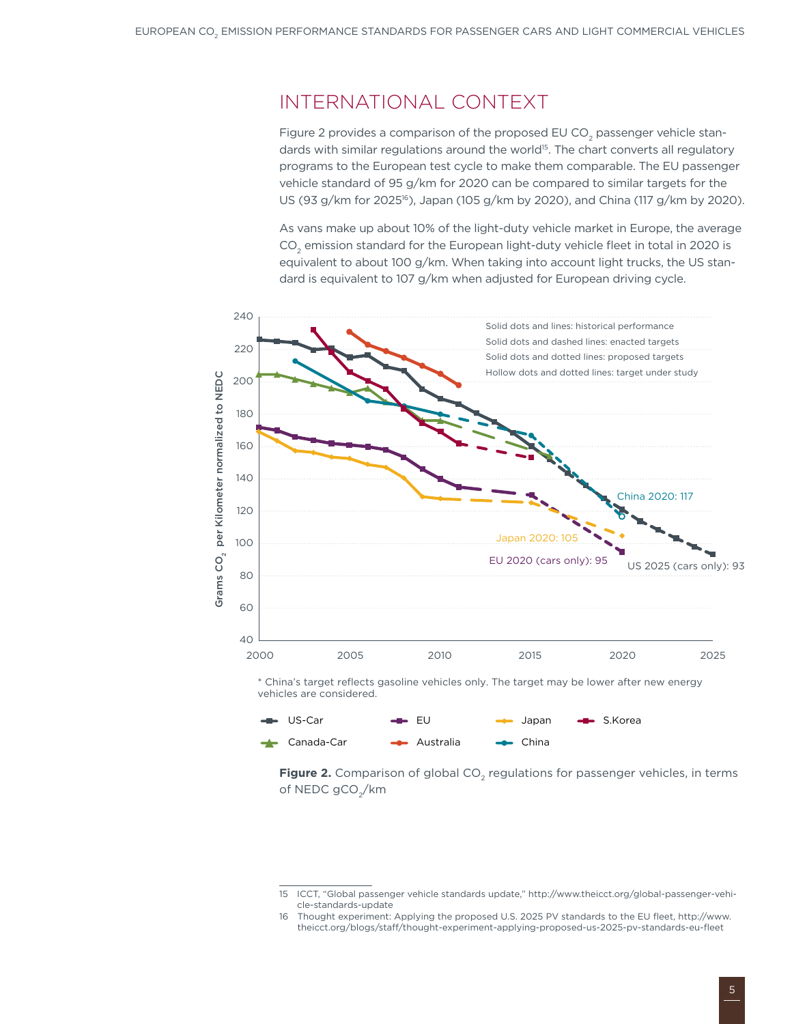#### International context

Figure 2 provides a comparison of the proposed EU CO<sub>2</sub> passenger vehicle standards with similar regulations around the world<sup>15</sup>. The chart converts all regulatory programs to the European test cycle to make them comparable. The EU passenger vehicle standard of 95 g/km for 2020 can be compared to similar targets for the US (93 g/km for 2025<sup>16</sup>), Japan (105 g/km by 2020), and China (117 g/km by 2020).

As vans make up about 10% of the light-duty vehicle market in Europe, the average CO<sub>2</sub> emission standard for the European light-duty vehicle fleet in total in 2020 is equivalent to about 100 g/km. When taking into account light trucks, the US standard is equivalent to 107 g/km when adjusted for European driving cycle.





**Figure 2.** Comparison of global CO<sub>2</sub> regulations for passenger vehicles, in terms of NEDC gCO<sub>2</sub>/km

<sup>15</sup> ICCT, "Global passenger vehicle standards update," [http://www.theicct.org/global-passenger-vehi](http://www.theicct.org/global-passenger-vehicle-standards-update)[cle-standards-update](http://www.theicct.org/global-passenger-vehicle-standards-update)

<sup>16</sup> Thought experiment: Applying the proposed U.S. 2025 PV standards to the EU fleet, [http://www.](http://www.theicct.org/blogs/staff/thought-experiment-applying-proposed-us-2025-pv-standards-eu-fleet) [theicct.org/blogs/staff/thought-experiment-applying-proposed-us-2025-pv-standards-eu-fleet](http://www.theicct.org/blogs/staff/thought-experiment-applying-proposed-us-2025-pv-standards-eu-fleet)